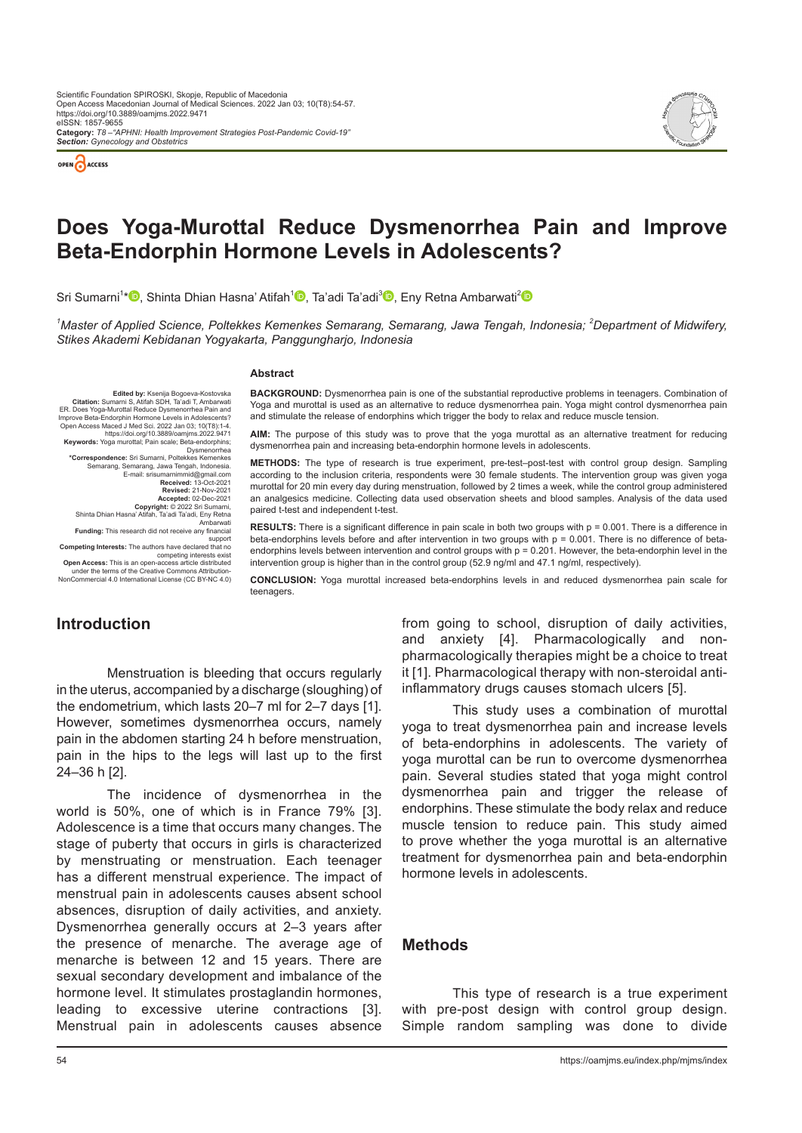



# **Does Yoga-Murottal Reduce Dysmenorrhea Pain and Improve Beta-Endorphin Hormone Levels in Adolescents?**

Sri Sumarni<sup>1</sup>[\\*](https://orcid.org/0000-0003-1139-1695)<sup>In</sup>[,](https://orcid.org/0000-0002-3263-8442) Shinta Dhian Hasna' Atifah<sup>1</sup>ID, Ta'adi Ta'adi<sup>3</sup>ID, Eny Retna Ambarwati<sup>[2](https://orcid.org/0000-0002-4805-8653)</sup>

<sup>1</sup>Master of Applied Science, Poltekkes Kemenkes Semarang, Semarang, Jawa Tengah, Indonesia; <sup>2</sup>Department of Midwifery, *Stikes Akademi Kebidanan Yogyakarta, Panggungharjo, Indonesia*

#### **Abstract**

**Edited by: Ksenija Bogoeva-Kostovska**<br>**Citation:** Sumarni S. Atifah SDH. Ta'adi T. Ambarwati Citation: Sumarni S, Atifah SDH, Ta'adi T, Ambarwati<br>ER. Does Yoga-Murottal Reduce Dysmenorthea Pain and<br>Improve Beta-Endorphin Hormone Levels in Adolescents?<br>Open Access Maced J Med Sci. 2022 Jan 03; 10(T8):1-4.<br>Meywords: Dysmenorrhea **\*Correspondence:** Sri Sumarni, Poltekkes Kemenkes Semarang, Semarang, Jawa Tengah, Indonesia.<br>
E-mail: srisumarnimmid@gmail.com<br> **Received:** 13-Oct-2021<br> **Revised:** 21-Nov-2021<br> **Accepted:** 02-Dec-2021 **Copyright:** © 2022 Sri Sumarni, Shinta Dhian Hasna' Atifah, Ta'adi Ta'adi, Eny Retna Ambarwati **Funding:** This research did not receive any financial support **Competing Interests:** The authors have declared that no competing interests exist **Open Access:** This is an open-access article distributed under the terms of the Creative Commons Attribution-NonCommercial 4.0 International License (CC BY-NC 4.0)

**BACKGROUND:** Dysmenorrhea pain is one of the substantial reproductive problems in teenagers. Combination of Yoga and murottal is used as an alternative to reduce dysmenorrhea pain. Yoga might control dysmenorrhea pain and stimulate the release of endorphins which trigger the body to relax and reduce muscle tension.

**AIM:** The purpose of this study was to prove that the yoga murottal as an alternative treatment for reducing dysmenorrhea pain and increasing beta-endorphin hormone levels in adolescents.

**METHODS:** The type of research is true experiment, pre-test–post-test with control group design. Sampling according to the inclusion criteria, respondents were 30 female students. The intervention group was given yoga murottal for 20 min every day during menstruation, followed by 2 times a week, while the control group administered an analgesics medicine. Collecting data used observation sheets and blood samples. Analysis of the data used paired t-test and independent t-test.

**RESULTS:** There is a significant difference in pain scale in both two groups with p = 0.001. There is a difference in beta-endorphins levels before and after intervention in two groups with  $p = 0.001$ . There is no difference of betaendorphins levels between intervention and control groups with p = 0.201. However, the beta-endorphin level in the intervention group is higher than in the control group (52.9 ng/ml and 47.1 ng/ml, respectively).

**CONCLUSION:** Yoga murottal increased beta-endorphins levels in and reduced dysmenorrhea pain scale for teenagers.

### **Introduction**

Menstruation is bleeding that occurs regularly in the uterus, accompanied by a discharge (sloughing) of the endometrium, which lasts 20–7 ml for 2–7 days [1]. However, sometimes dysmenorrhea occurs, namely pain in the abdomen starting 24 h before menstruation, pain in the hips to the legs will last up to the first 24–36 h [2].

The incidence of dysmenorrhea in the world is 50%, one of which is in France 79% [3]. Adolescence is a time that occurs many changes. The stage of puberty that occurs in girls is characterized by menstruating or menstruation. Each teenager has a different menstrual experience. The impact of menstrual pain in adolescents causes absent school absences, disruption of daily activities, and anxiety. Dysmenorrhea generally occurs at 2–3 years after the presence of menarche. The average age of menarche is between 12 and 15 years. There are sexual secondary development and imbalance of the hormone level. It stimulates prostaglandin hormones, leading to excessive uterine contractions [3]. Menstrual pain in adolescents causes absence

from going to school, disruption of daily activities, and anxiety [4]. Pharmacologically and nonpharmacologically therapies might be a choice to treat it [1]. Pharmacological therapy with non-steroidal antiinflammatory drugs causes stomach ulcers [5].

This study uses a combination of murottal yoga to treat dysmenorrhea pain and increase levels of beta-endorphins in adolescents. The variety of yoga murottal can be run to overcome dysmenorrhea pain. Several studies stated that yoga might control dysmenorrhea pain and trigger the release of endorphins. These stimulate the body relax and reduce muscle tension to reduce pain. This study aimed to prove whether the yoga murottal is an alternative treatment for dysmenorrhea pain and beta-endorphin hormone levels in adolescents.

#### **Methods**

This type of research is a true experiment with pre-post design with control group design. Simple random sampling was done to divide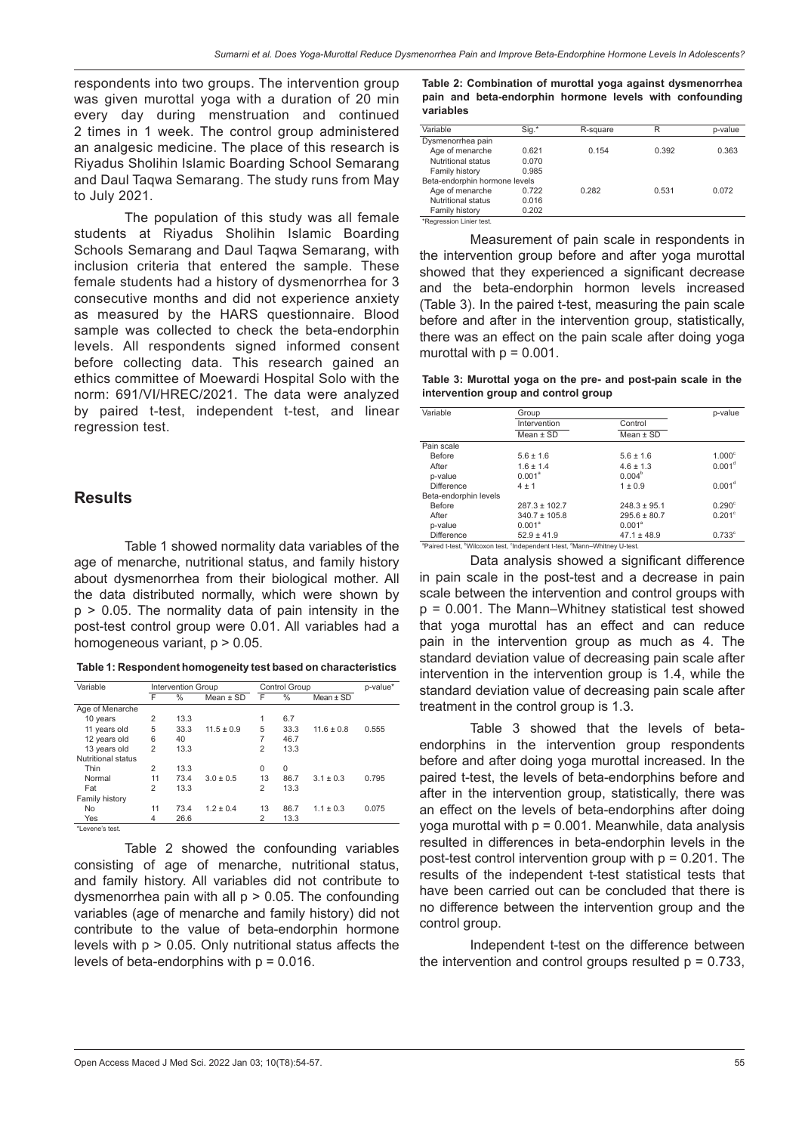respondents into two groups. The intervention group was given murottal yoga with a duration of 20 min every day during menstruation and continued 2 times in 1 week. The control group administered an analgesic medicine. The place of this research is Riyadus Sholihin Islamic Boarding School Semarang and Daul Taqwa Semarang. The study runs from May to July 2021.

The population of this study was all female students at Riyadus Sholihin Islamic Boarding Schools Semarang and Daul Taqwa Semarang, with inclusion criteria that entered the sample. These female students had a history of dysmenorrhea for 3 consecutive months and did not experience anxiety as measured by the HARS questionnaire. Blood sample was collected to check the beta-endorphin levels. All respondents signed informed consent before collecting data. This research gained an ethics committee of Moewardi Hospital Solo with the norm: 691/VI/HREC/2021. The data were analyzed by paired t-test, independent t-test, and linear regression test.

### **Results**

Table 1 showed normality data variables of the age of menarche, nutritional status, and family history about dysmenorrhea from their biological mother. All the data distributed normally, which were shown by p > 0.05. The normality data of pain intensity in the post-test control group were 0.01. All variables had a homogeneous variant,  $p > 0.05$ .

| Table 1: Respondent homogeneity test based on characteristics |  |
|---------------------------------------------------------------|--|
|---------------------------------------------------------------|--|

| Variable           | <b>Intervention Group</b> |               |                | <b>Control Group</b> |          |                | p-value* |
|--------------------|---------------------------|---------------|----------------|----------------------|----------|----------------|----------|
|                    | F                         | $\frac{0}{0}$ | Mean $\pm$ SD  | F                    | $\%$     | Mean $\pm$ SD  |          |
| Age of Menarche    |                           |               |                |                      |          |                |          |
| 10 years           | $\overline{2}$            | 13.3          |                | 1                    | 6.7      |                |          |
| 11 years old       | 5                         | 33.3          | $11.5 \pm 0.9$ | 5                    | 33.3     | $11.6 \pm 0.8$ | 0.555    |
| 12 years old       | 6                         | 40            |                | 7                    | 46.7     |                |          |
| 13 years old       | $\overline{2}$            | 13.3          |                | $\overline{c}$       | 13.3     |                |          |
| Nutritional status |                           |               |                |                      |          |                |          |
| Thin               | $\overline{2}$            | 13.3          |                | $\Omega$             | $\Omega$ |                |          |
| Normal             | 11                        | 73.4          | $3.0 \pm 0.5$  | 13                   | 86.7     | $3.1 \pm 0.3$  | 0.795    |
| Fat                | $\overline{2}$            | 13.3          |                | $\overline{c}$       | 13.3     |                |          |
| Family history     |                           |               |                |                      |          |                |          |
| <b>No</b>          | 11                        | 73.4          | $1.2 \pm 0.4$  | 13                   | 86.7     | $1.1 \pm 0.3$  | 0.075    |
| Yes                | 4                         | 26.6          |                | 2                    | 13.3     |                |          |
| *Levene's test.    |                           |               |                |                      |          |                |          |

Table 2 showed the confounding variables consisting of age of menarche, nutritional status, and family history. All variables did not contribute to dysmenorrhea pain with all  $p > 0.05$ . The confounding variables (age of menarche and family history) did not contribute to the value of beta-endorphin hormone levels with p > 0.05. Only nutritional status affects the levels of beta-endorphins with  $p = 0.016$ .

**Table 2: Combination of murottal yoga against dysmenorrhea pain and beta-endorphin hormone levels with confounding variables**

|                               |       |          | p-value |  |  |  |
|-------------------------------|-------|----------|---------|--|--|--|
|                               |       |          |         |  |  |  |
| 0.621                         | 0.154 | 0.392    | 0.363   |  |  |  |
| 0.070                         |       |          |         |  |  |  |
| 0.985                         |       |          |         |  |  |  |
| Beta-endorphin hormone levels |       |          |         |  |  |  |
| 0.722                         | 0.282 | 0.531    | 0.072   |  |  |  |
| 0.016                         |       |          |         |  |  |  |
| 0.202                         |       |          |         |  |  |  |
|                               | Sig.* | R-square | R       |  |  |  |

\*Regression Linier test.

Measurement of pain scale in respondents in the intervention group before and after yoga murottal showed that they experienced a significant decrease and the beta-endorphin hormon levels increased (Table 3). In the paired t-test, measuring the pain scale before and after in the intervention group, statistically, there was an effect on the pain scale after doing yoga murottal with  $p = 0.001$ .

**Table 3: Murottal yoga on the pre- and post-pain scale in the intervention group and control group**

| Variable              | Group                                                                      |                    |                    |  |
|-----------------------|----------------------------------------------------------------------------|--------------------|--------------------|--|
|                       | Intervention                                                               | Control            |                    |  |
|                       | Mean $\pm$ SD                                                              | Mean $\pm$ SD      |                    |  |
| Pain scale            |                                                                            |                    |                    |  |
| Before                | $5.6 \pm 1.6$                                                              | $5.6 \pm 1.6$      | 1.000 <sup>c</sup> |  |
| After                 | $1.6 \pm 1.4$                                                              | $4.6 \pm 1.3$      | 0.001 <sup>d</sup> |  |
| p-value               | $0.001^a$                                                                  | 0.004 <sup>b</sup> |                    |  |
| <b>Difference</b>     | 4±1                                                                        | $1 \pm 0.9$        | 0.001 <sup>d</sup> |  |
| Beta-endorphin levels |                                                                            |                    |                    |  |
| Before                | $287.3 \pm 102.7$                                                          | $248.3 \pm 95.1$   | $0.290^\circ$      |  |
| After                 | $340.7 \pm 105.8$                                                          | $295.6 \pm 80.7$   | $0.201^{\circ}$    |  |
| p-value               | $0.001^a$                                                                  | $0.001^a$          |                    |  |
| <b>Difference</b>     | $52.9 + 41.9$                                                              | $47.1 \pm 48.9$    | $0.733$ °          |  |
|                       | "Paired t-test, "Wilcoxon test, "Independent t-test, "Mann-Whitney U-test. |                    |                    |  |

'Wilcoxon test, <sup>c</sup> Independent t-test, <sup>o</sup> Mann–Whitney U‑test.

Data analysis showed a significant difference in pain scale in the post-test and a decrease in pain scale between the intervention and control groups with p = 0.001. The Mann–Whitney statistical test showed that yoga murottal has an effect and can reduce pain in the intervention group as much as 4. The standard deviation value of decreasing pain scale after intervention in the intervention group is 1.4, while the standard deviation value of decreasing pain scale after treatment in the control group is 1.3.

Table 3 showed that the levels of betaendorphins in the intervention group respondents before and after doing yoga murottal increased. In the paired t-test, the levels of beta-endorphins before and after in the intervention group, statistically, there was an effect on the levels of beta-endorphins after doing yoga murottal with  $p = 0.001$ . Meanwhile, data analysis resulted in differences in beta-endorphin levels in the post-test control intervention group with p = 0.201. The results of the independent t-test statistical tests that have been carried out can be concluded that there is no difference between the intervention group and the control group.

Independent t-test on the difference between the intervention and control groups resulted  $p = 0.733$ ,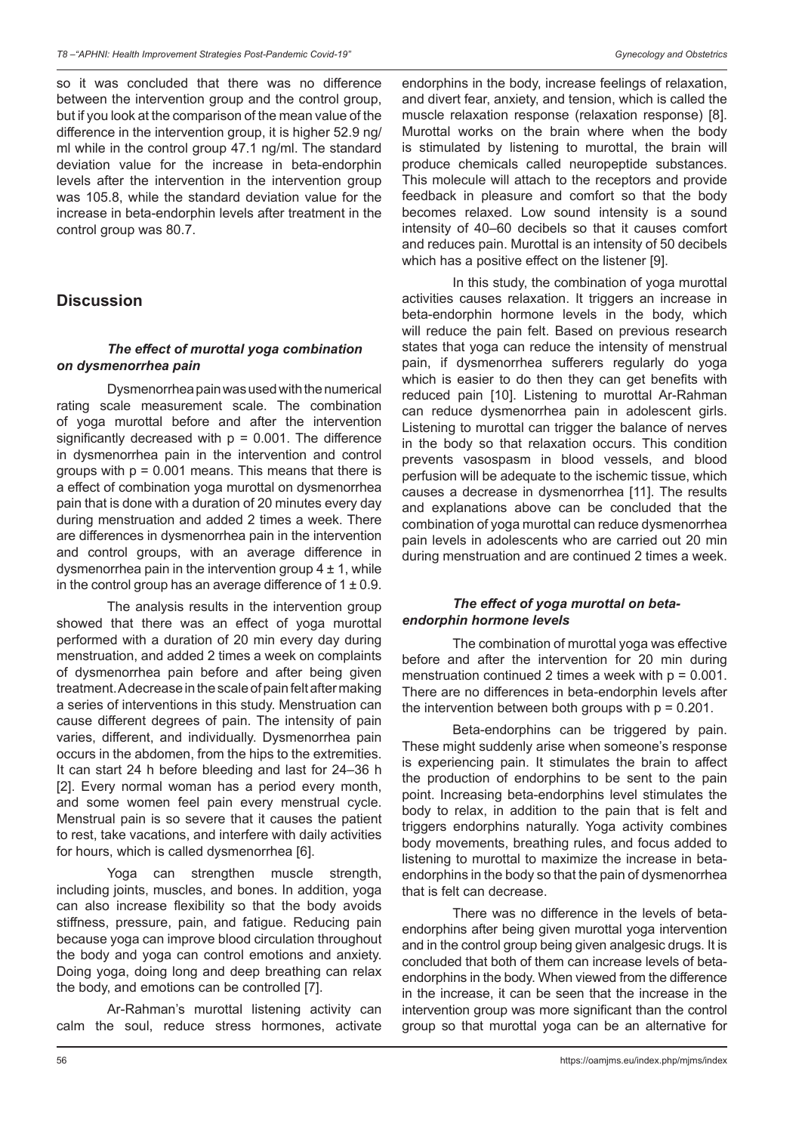so it was concluded that there was no difference between the intervention group and the control group, but if you look at the comparison of the mean value of the difference in the intervention group, it is higher 52.9 ng/ ml while in the control group 47.1 ng/ml. The standard deviation value for the increase in beta-endorphin levels after the intervention in the intervention group was 105.8, while the standard deviation value for the increase in beta-endorphin levels after treatment in the control group was 80.7.

### **Discussion**

### *The effect of murottal yoga combination on dysmenorrhea pain*

Dysmenorrhea pain was used with the numerical rating scale measurement scale. The combination of yoga murottal before and after the intervention significantly decreased with  $p = 0.001$ . The difference in dysmenorrhea pain in the intervention and control groups with  $p = 0.001$  means. This means that there is a effect of combination yoga murottal on dysmenorrhea pain that is done with a duration of 20 minutes every day during menstruation and added 2 times a week. There are differences in dysmenorrhea pain in the intervention and control groups, with an average difference in dysmenorrhea pain in the intervention group  $4 \pm 1$ , while in the control group has an average difference of  $1 \pm 0.9$ .

The analysis results in the intervention group showed that there was an effect of yoga murottal performed with a duration of 20 min every day during menstruation, and added 2 times a week on complaints of dysmenorrhea pain before and after being given treatment. A decrease in the scale of pain felt after making a series of interventions in this study. Menstruation can cause different degrees of pain. The intensity of pain varies, different, and individually. Dysmenorrhea pain occurs in the abdomen, from the hips to the extremities. It can start 24 h before bleeding and last for 24–36 h [2]. Every normal woman has a period every month, and some women feel pain every menstrual cycle. Menstrual pain is so severe that it causes the patient to rest, take vacations, and interfere with daily activities for hours, which is called dysmenorrhea [6].

Yoga can strengthen muscle strength, including joints, muscles, and bones. In addition, yoga can also increase flexibility so that the body avoids stiffness, pressure, pain, and fatigue. Reducing pain because yoga can improve blood circulation throughout the body and yoga can control emotions and anxiety. Doing yoga, doing long and deep breathing can relax the body, and emotions can be controlled [7].

Ar-Rahman's murottal listening activity can calm the soul, reduce stress hormones, activate endorphins in the body, increase feelings of relaxation, and divert fear, anxiety, and tension, which is called the muscle relaxation response (relaxation response) [8]. Murottal works on the brain where when the body is stimulated by listening to murottal, the brain will produce chemicals called neuropeptide substances. This molecule will attach to the receptors and provide feedback in pleasure and comfort so that the body becomes relaxed. Low sound intensity is a sound intensity of 40–60 decibels so that it causes comfort and reduces pain. Murottal is an intensity of 50 decibels which has a positive effect on the listener [9].

In this study, the combination of yoga murottal activities causes relaxation. It triggers an increase in beta-endorphin hormone levels in the body, which will reduce the pain felt. Based on previous research states that yoga can reduce the intensity of menstrual pain, if dysmenorrhea sufferers regularly do yoga which is easier to do then they can get benefits with reduced pain [10]. Listening to murottal Ar-Rahman can reduce dysmenorrhea pain in adolescent girls. Listening to murottal can trigger the balance of nerves in the body so that relaxation occurs. This condition prevents vasospasm in blood vessels, and blood perfusion will be adequate to the ischemic tissue, which causes a decrease in dysmenorrhea [11]. The results and explanations above can be concluded that the combination of yoga murottal can reduce dysmenorrhea pain levels in adolescents who are carried out 20 min during menstruation and are continued 2 times a week.

#### *The effect of yoga murottal on betaendorphin hormone levels*

The combination of murottal yoga was effective before and after the intervention for 20 min during menstruation continued 2 times a week with  $p = 0.001$ . There are no differences in beta-endorphin levels after the intervention between both groups with  $p = 0.201$ .

Beta-endorphins can be triggered by pain. These might suddenly arise when someone's response is experiencing pain. It stimulates the brain to affect the production of endorphins to be sent to the pain point. Increasing beta-endorphins level stimulates the body to relax, in addition to the pain that is felt and triggers endorphins naturally. Yoga activity combines body movements, breathing rules, and focus added to listening to murottal to maximize the increase in betaendorphins in the body so that the pain of dysmenorrhea that is felt can decrease.

There was no difference in the levels of betaendorphins after being given murottal yoga intervention and in the control group being given analgesic drugs. It is concluded that both of them can increase levels of betaendorphins in the body. When viewed from the difference in the increase, it can be seen that the increase in the intervention group was more significant than the control group so that murottal yoga can be an alternative for